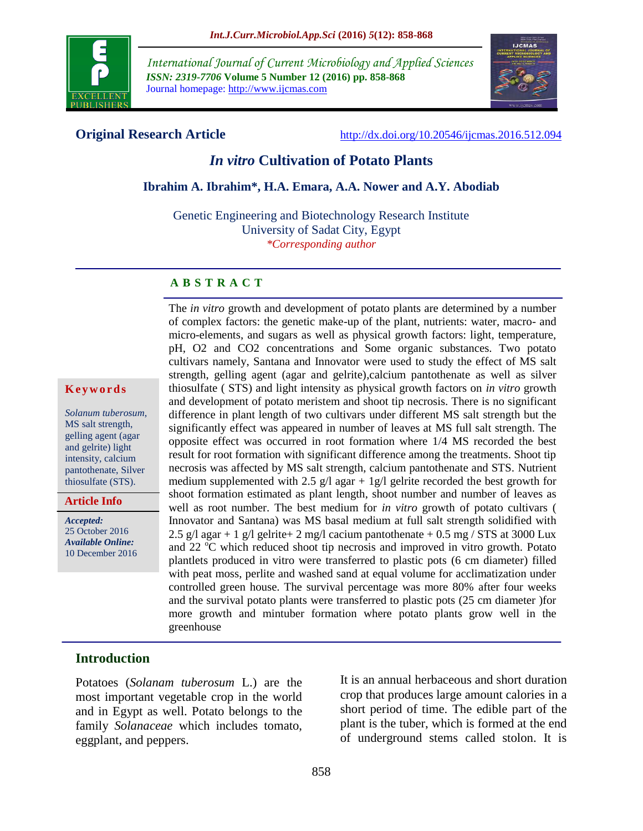

*International Journal of Current Microbiology and Applied Sciences ISSN: 2319-7706* **Volume 5 Number 12 (2016) pp. 858-868** Journal homepage: http://www.ijcmas.com



**Original Research Article** <http://dx.doi.org/10.20546/ijcmas.2016.512.094>

## *In vitro* **Cultivation of Potato Plants**

## **Ibrahim A. Ibrahim\*, H.A. Emara, A.A. Nower and A.Y. Abodiab**

Genetic Engineering and Biotechnology Research Institute University of Sadat City, Egypt *\*Corresponding author*

#### **A B S T R A C T**

#### **K e y w o r d s**

*Solanum tuberosum*, MS salt strength, gelling agent (agar and gelrite) light intensity, calcium pantothenate, Silver thiosulfate (STS).

**Article Info**

*Accepted:*  25 October 2016 *Available Online:* 10 December 2016 The *in vitro* growth and development of potato plants are determined by a number of complex factors: the genetic make-up of the plant, nutrients: water, macro- and micro-elements, and sugars as well as physical growth factors: light, temperature, pH, O2 and CO2 concentrations and Some organic substances. Two potato cultivars namely, Santana and Innovator were used to study the effect of MS salt strength, gelling agent (agar and gelrite),calcium pantothenate as well as silver thiosulfate ( STS) and light intensity as physical growth factors on *in vitro* growth and development of potato meristem and shoot tip necrosis. There is no significant difference in plant length of two cultivars under different MS salt strength but the significantly effect was appeared in number of leaves at MS full salt strength. The opposite effect was occurred in root formation where 1/4 MS recorded the best result for root formation with significant difference among the treatments. Shoot tip necrosis was affected by MS salt strength, calcium pantothenate and STS. Nutrient medium supplemented with 2.5  $g/l$  agar + 1g/l gelrite recorded the best growth for shoot formation estimated as plant length, shoot number and number of leaves as well as root number. The best medium for *in vitro* growth of potato cultivars ( Innovator and Santana) was MS basal medium at full salt strength solidified with 2.5 g/l agar + 1 g/l gelrite + 2 mg/l cacium pantothenate + 0.5 mg / STS at 3000 Lux and 22  $^{\circ}$ C which reduced shoot tip necrosis and improved in vitro growth. Potato plantlets produced in vitro were transferred to plastic pots (6 cm diameter) filled with peat moss, perlite and washed sand at equal volume for acclimatization under controlled green house. The survival percentage was more 80% after four weeks and the survival potato plants were transferred to plastic pots (25 cm diameter )for more growth and mintuber formation where potato plants grow well in the greenhouse

## **Introduction**

Potatoes (*Solanam tuberosum* L.) are the most important vegetable crop in the world and in Egypt as well. Potato belongs to the family *Solanaceae* which includes tomato, eggplant, and peppers.

It is an annual herbaceous and short duration crop that produces large amount calories in a short period of time. The edible part of the plant is the tuber, which is formed at the end of underground stems called stolon. It is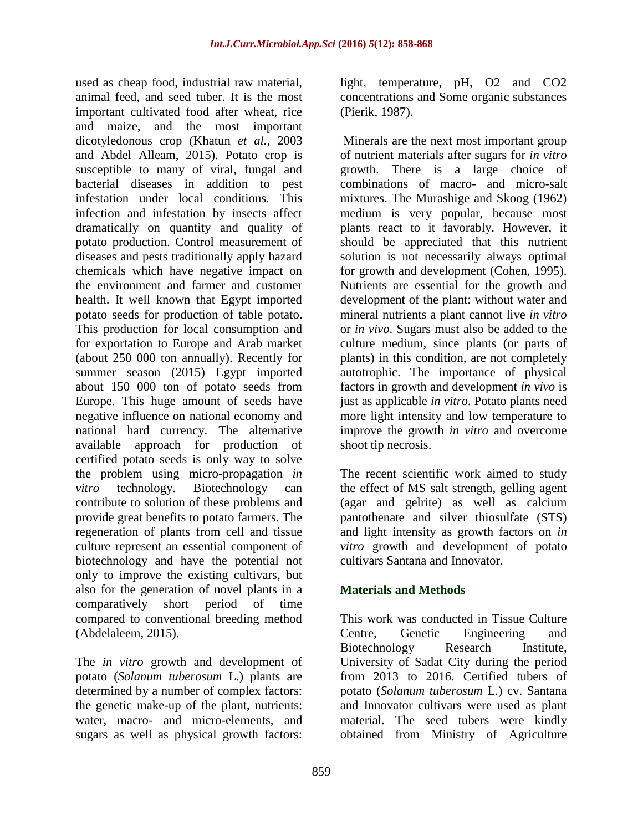used as cheap food, industrial raw material, animal feed, and seed tuber. It is the most important cultivated food after wheat, rice and maize, and the most important dicotyledonous crop (Khatun *et al.,* 2003 and Abdel Alleam, 2015). Potato crop is susceptible to many of viral, fungal and bacterial diseases in addition to pest infestation under local conditions. This infection and infestation by insects affect dramatically on quantity and quality of potato production. Control measurement of diseases and pests traditionally apply hazard chemicals which have negative impact on the environment and farmer and customer health. It well known that Egypt imported potato seeds for production of table potato. This production for local consumption and for exportation to Europe and Arab market (about 250 000 ton annually). Recently for summer season (2015) Egypt imported about 150 000 ton of potato seeds from Europe. This huge amount of seeds have negative influence on national economy and national hard currency. The alternative available approach for production of certified potato seeds is only way to solve the problem using micro-propagation *in vitro* technology. Biotechnology can contribute to solution of these problems and provide great benefits to potato farmers. The regeneration of plants from cell and tissue culture represent an essential component of biotechnology and have the potential not only to improve the existing cultivars, but also for the generation of novel plants in a comparatively short period of time compared to conventional breeding method (Abdelaleem, 2015).

The *in vitro* growth and development of potato (*Solanum tuberosum* L.) plants are determined by a number of complex factors: the genetic make-up of the plant, nutrients: water, macro- and micro-elements, and sugars as well as physical growth factors:

light, temperature, pH, O2 and CO2 concentrations and Some organic substances (Pierik, 1987).

Minerals are the next most important group of nutrient materials after sugars for *in vitro* growth. There is a large choice of combinations of macro- and micro-salt mixtures. The Murashige and Skoog (1962) medium is very popular, because most plants react to it favorably. However, it should be appreciated that this nutrient solution is not necessarily always optimal for growth and development (Cohen, 1995). Nutrients are essential for the growth and development of the plant: without water and mineral nutrients a plant cannot live *in vitro* or *in vivo*. Sugars must also be added to the culture medium, since plants (or parts of plants) in this condition, are not completely autotrophic. The importance of physical factors in growth and development *in vivo* is just as applicable *in vitro*. Potato plants need more light intensity and low temperature to improve the growth *in vitro* and overcome shoot tip necrosis.

The recent scientific work aimed to study the effect of MS salt strength, gelling agent (agar and gelrite) as well as calcium pantothenate and silver thiosulfate (STS) and light intensity as growth factors on *in vitro* growth and development of potato cultivars Santana and Innovator.

# **Materials and Methods**

This work was conducted in Tissue Culture Centre, Genetic Engineering and Biotechnology Research Institute, University of Sadat City during the period from 2013 to 2016. Certified tubers of potato (*Solanum tuberosum* L.) cv. Santana and Innovator cultivars were used as plant material. The seed tubers were kindly obtained from Ministry of Agriculture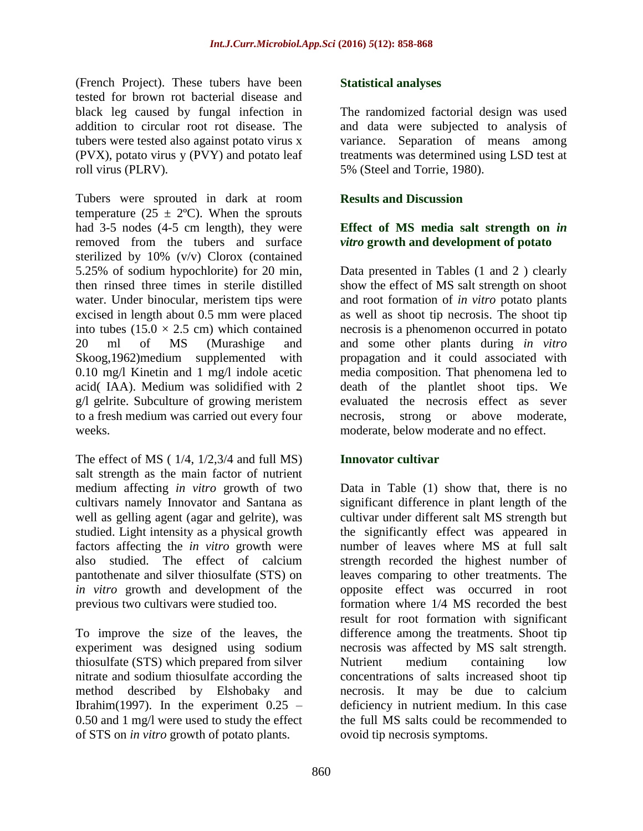(French Project). These tubers have been tested for brown rot bacterial disease and black leg caused by fungal infection in addition to circular root rot disease. The tubers were tested also against potato virus x (PVX), potato virus y (PVY) and potato leaf roll virus (PLRV).

Tubers were sprouted in dark at room temperature (25  $\pm$  2°C). When the sprouts had 3-5 nodes (4-5 cm length), they were removed from the tubers and surface sterilized by 10% (v/v) Clorox (contained 5.25% of sodium hypochlorite) for 20 min, then rinsed three times in sterile distilled water. Under binocular, meristem tips were excised in length about 0.5 mm were placed into tubes  $(15.0 \times 2.5 \text{ cm})$  which contained 20 ml of MS (Murashige and Skoog,1962)medium supplemented with 0.10 mg/l Kinetin and 1 mg/l indole acetic acid( IAA). Medium was solidified with 2 g/l gelrite. Subculture of growing meristem to a fresh medium was carried out every four weeks.

The effect of MS  $(1/4, 1/2, 3/4)$  and full MS) salt strength as the main factor of nutrient medium affecting *in vitro* growth of two cultivars namely Innovator and Santana as well as gelling agent (agar and gelrite), was studied. Light intensity as a physical growth factors affecting the *in vitro* growth were also studied. The effect of calcium pantothenate and silver thiosulfate (STS) on *in vitro* growth and development of the previous two cultivars were studied too.

To improve the size of the leaves, the experiment was designed using sodium thiosulfate (STS) which prepared from silver nitrate and sodium thiosulfate according the method described by Elshobaky and Ibrahim(1997). In the experiment  $0.25 -$ 0.50 and 1 mg/l were used to study the effect of STS on *in vitro* growth of potato plants.

## **Statistical analyses**

The randomized factorial design was used and data were subjected to analysis of variance. Separation of means among treatments was determined using LSD test at 5% (Steel and Torrie, 1980).

## **Results and Discussion**

## **Effect of MS media salt strength on** *in vitro* **growth and development of potato**

Data presented in Tables (1 and 2 ) clearly show the effect of MS salt strength on shoot and root formation of *in vitro* potato plants as well as shoot tip necrosis. The shoot tip necrosis is a phenomenon occurred in potato and some other plants during *in vitro* propagation and it could associated with media composition. That phenomena led to death of the plantlet shoot tips. We evaluated the necrosis effect as sever necrosis, strong or above moderate, moderate, below moderate and no effect.

## **Innovator cultivar**

Data in Table (1) show that, there is no significant difference in plant length of the cultivar under different salt MS strength but the significantly effect was appeared in number of leaves where MS at full salt strength recorded the highest number of leaves comparing to other treatments. The opposite effect was occurred in root formation where 1/4 MS recorded the best result for root formation with significant difference among the treatments. Shoot tip necrosis was affected by MS salt strength. Nutrient medium containing low concentrations of salts increased shoot tip necrosis. It may be due to calcium deficiency in nutrient medium. In this case the full MS salts could be recommended to ovoid tip necrosis symptoms.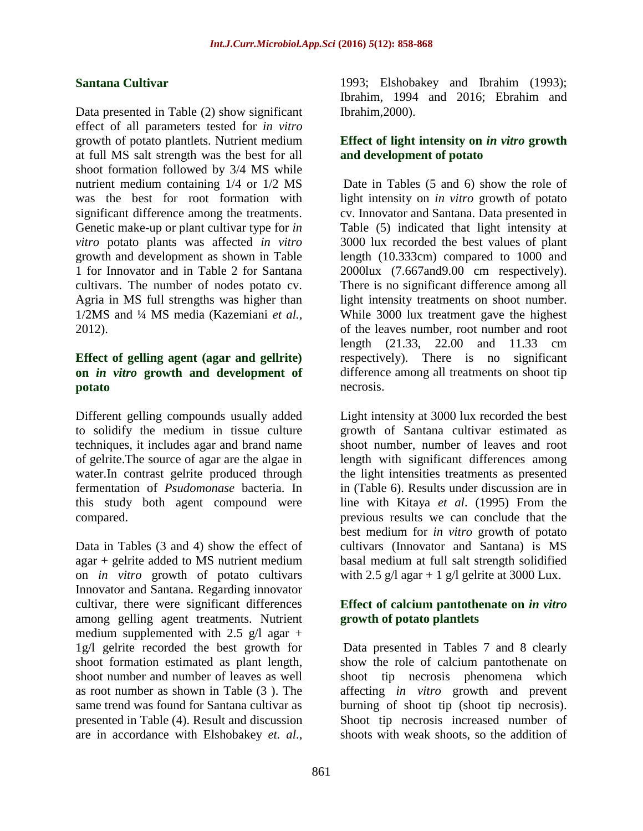#### **Santana Cultivar**

Data presented in Table (2) show significant effect of all parameters tested for *in vitro* growth of potato plantlets. Nutrient medium at full MS salt strength was the best for all shoot formation followed by 3/4 MS while nutrient medium containing 1/4 or 1/2 MS was the best for root formation with significant difference among the treatments. Genetic make-up or plant cultivar type for *in vitro* potato plants was affected *in vitro* growth and development as shown in Table 1 for Innovator and in Table 2 for Santana cultivars. The number of nodes potato cv. Agria in MS full strengths was higher than 1/2MS and ¼ MS media (Kazemiani *et al.,* 2012).

## **Effect of gelling agent (agar and gellrite) on** *in vitro* **growth and development of potato**

Different gelling compounds usually added to solidify the medium in tissue culture techniques, it includes agar and brand name of gelrite.The source of agar are the algae in water.In contrast gelrite produced through fermentation of *Psudomonase* bacteria. In this study both agent compound were compared.

Data in Tables (3 and 4) show the effect of agar + gelrite added to MS nutrient medium on *in vitro* growth of potato cultivars Innovator and Santana. Regarding innovator cultivar, there were significant differences among gelling agent treatments. Nutrient medium supplemented with 2.5  $g/l$  agar + 1g/l gelrite recorded the best growth for shoot formation estimated as plant length, shoot number and number of leaves as well as root number as shown in Table (3 ). The same trend was found for Santana cultivar as presented in Table (4). Result and discussion are in accordance with Elshobakey *et. al*.,

1993; Elshobakey and Ibrahim (1993); Ibrahim, 1994 and 2016; Ebrahim and Ibrahim,2000).

## **Effect of light intensity on** *in vitro* **growth and development of potato**

Date in Tables (5 and 6) show the role of light intensity on *in vitro* growth of potato cv. Innovator and Santana. Data presented in Table (5) indicated that light intensity at 3000 lux recorded the best values of plant length (10.333cm) compared to 1000 and 2000lux (7.667and9.00 cm respectively). There is no significant difference among all light intensity treatments on shoot number. While 3000 lux treatment gave the highest of the leaves number, root number and root length (21.33, 22.00 and 11.33 cm respectively). There is no significant difference among all treatments on shoot tip necrosis.

Light intensity at 3000 lux recorded the best growth of Santana cultivar estimated as shoot number, number of leaves and root length with significant differences among the light intensities treatments as presented in (Table 6). Results under discussion are in line with Kitaya *et al*. (1995) From the previous results we can conclude that the best medium for *in vitro* growth of potato cultivars (Innovator and Santana) is MS basal medium at full salt strength solidified with 2.5 g/l agar + 1 g/l gelrite at 3000 Lux.

## **Effect of calcium pantothenate on** *in vitro* **growth of potato plantlets**

Data presented in Tables 7 and 8 clearly show the role of calcium pantothenate on shoot tip necrosis phenomena which affecting *in vitro* growth and prevent burning of shoot tip (shoot tip necrosis). Shoot tip necrosis increased number of shoots with weak shoots, so the addition of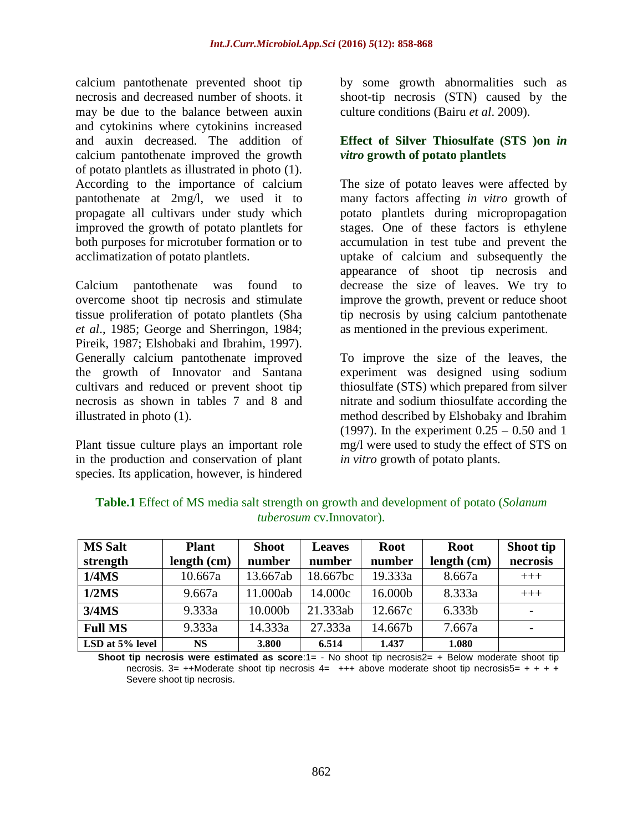calcium pantothenate prevented shoot tip necrosis and decreased number of shoots. it may be due to the balance between auxin and cytokinins where cytokinins increased and auxin decreased. The addition of calcium pantothenate improved the growth of potato plantlets as illustrated in photo (1). According to the importance of calcium pantothenate at 2mg/l, we used it to propagate all cultivars under study which improved the growth of potato plantlets for both purposes for microtuber formation or to acclimatization of potato plantlets.

Calcium pantothenate was found to overcome shoot tip necrosis and stimulate tissue proliferation of potato plantlets (Sha *et al*., 1985; George and Sherringon, 1984; Pireik, 1987; Elshobaki and Ibrahim, 1997). Generally calcium pantothenate improved the growth of Innovator and Santana cultivars and reduced or prevent shoot tip necrosis as shown in tables 7 and 8 and illustrated in photo (1).

Plant tissue culture plays an important role in the production and conservation of plant species. Its application, however, is hindered by some growth abnormalities such as shoot-tip necrosis (STN) caused by the culture conditions (Bairu *et al*. 2009).

## **Effect of Silver Thiosulfate (STS )on** *in vitro* **growth of potato plantlets**

The size of potato leaves were affected by many factors affecting *in vitro* growth of potato plantlets during micropropagation stages. One of these factors is ethylene accumulation in test tube and prevent the uptake of calcium and subsequently the appearance of shoot tip necrosis and decrease the size of leaves. We try to improve the growth, prevent or reduce shoot tip necrosis by using calcium pantothenate as mentioned in the previous experiment.

To improve the size of the leaves, the experiment was designed using sodium thiosulfate (STS) which prepared from silver nitrate and sodium thiosulfate according the method described by Elshobaky and Ibrahim (1997). In the experiment  $0.25 - 0.50$  and 1 mg/l were used to study the effect of STS on *in vitro* growth of potato plants.

| <b>MS Salt</b>  | <b>Plant</b> | <b>Shoot</b> | <b>Leaves</b> | <b>Root</b> | <b>Root</b> | Shoot tip                |
|-----------------|--------------|--------------|---------------|-------------|-------------|--------------------------|
| strength        | length (cm)  | number       | number        | number      | length (cm) | necrosis                 |
| 1/4MS           | 10.667a      | 13.667ab     | 18.667bc      | 19.333a     | 8.667a      | $+++$                    |
| 1/2MS           | 9.667a       | 11.000ab     | 14.000c       | 16.000b     | 8.333a      | $+++$                    |
| 3/4MS           | 9.333a       | 10.000b      | 21.333ab      | 12.667c     | 6.333b      |                          |
| <b>Full MS</b>  | 9.333a       | 14.333a      | 27.333a       | 14.667b     | 7.667a      | $\overline{\phantom{0}}$ |
| LSD at 5% level | <b>NS</b>    | 3.800        | 6.514         | 1.437       | 1.080       |                          |

**Table.1** Effect of MS media salt strength on growth and development of potato (*Solanum tuberosum* cv.Innovator).

**Shoot tip necrosis were estimated as score:**1= - No shoot tip necrosis2= + Below moderate shoot tip necrosis. 3= ++Moderate shoot tip necrosis  $4=$  +++ above moderate shoot tip necrosis5= + + + + Severe shoot tip necrosis.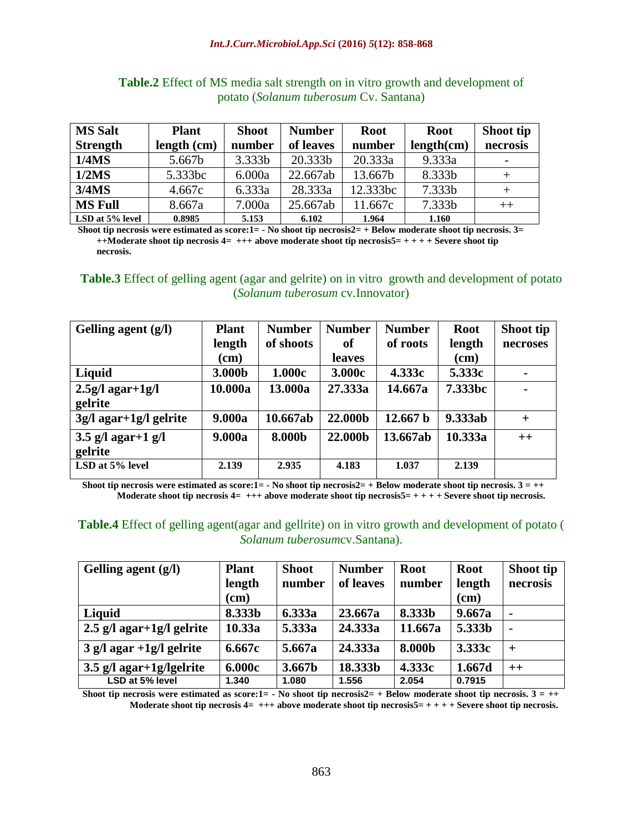| <b>MS Salt</b>  | <b>Plant</b> | <b>Shoot</b> | <b>Number</b> | <b>Root</b> | <b>Root</b> | Shoot tip |
|-----------------|--------------|--------------|---------------|-------------|-------------|-----------|
| <b>Strength</b> | length (cm)  | number       | of leaves     | number      | length(cm)  | necrosis  |
| 1/4MS           | 5.667b       | 3.333b       | 20.333b       | 20.333a     | 9.333a      |           |
| 1/2MS           | 5.333bc      | 6.000a       | 22.667ab      | 13.667b     | 8.333b      |           |
| 3/4MS           | 4.667c       | 6.333a       | 28.333a       | 12.333bc    | 7.333b      |           |
| <b>MS Full</b>  | 8.667a       | 7.000a       | 25.667ab      | 11.667c     | 7.333b      | $++$      |
| LSD at 5% level | 0.8985       | 5.153        | 6.102         | 1.964       | 1.160       |           |

## **Table.2** Effect of MS media salt strength on in vitro growth and development of potato (*Solanum tuberosum* Cv. Santana)

**Shoot tip necrosis were estimated as score:1= - No shoot tip necrosis2= + Below moderate shoot tip necrosis. 3= ++Moderate shoot tip necrosis 4= +++ above moderate shoot tip necrosis5= + + + + Severe shoot tip necrosis.**

## **Table.3** Effect of gelling agent (agar and gelrite) on in vitro growth and development of potato (*Solanum tuberosum* cv.Innovator)

| Gelling agent (g/l)         | <b>Plant</b> | <b>Number</b> | <b>Number</b> | <b>Number</b>       | <b>Root</b> | Shoot tip      |
|-----------------------------|--------------|---------------|---------------|---------------------|-------------|----------------|
|                             | length       | of shoots     | of            | of roots            | length      | necroses       |
|                             | (cm)         |               | <b>leaves</b> |                     | (cm)        |                |
| Liquid                      | 3.000b       | 1.000c        | 3.000c        | 4.333c              | 5.333c      | $\blacksquare$ |
| $2.5g/l$ agar+1g/l          | 10.000a      | 13.000a       | 27.333a       | 14.667a             | 7.333bc     |                |
| gelrite                     |              |               |               |                     |             |                |
| $3g/l$ agar+ $1g/l$ gelrite | 9.000a       | 10.667ab      | 22.000b       | 12.667 <sub>b</sub> | 9.333ab     | $+$            |
| $3.5$ g/l agar+1 g/l        | 9.000a       | 8.000b        | 22.000b       | 13.667ab            | 10.333a     | $++$           |
| gelrite                     |              |               |               |                     |             |                |
| LSD at 5% level             | 2.139        | 2.935         | 4.183         | 1.037               | 2.139       |                |

**Shoot tip necrosis were estimated as score:1=**  $\text{- }$  **No shoot tip necrosis2=**  $\text{+ }$  **Below moderate shoot tip necrosis.**  $3 = ++$ **Moderate shoot tip necrosis 4= +++ above moderate shoot tip necrosis5= + + + + Severe shoot tip necrosis.**

## **Table.4** Effect of gelling agent(agar and gellrite) on in vitro growth and development of potato ( *Solanum tuberosum*cv.Santana).

| Gelling agent (g/l)         | <b>Plant</b><br>length<br>(cm) | <b>Shoot</b><br>number | <b>Number</b><br>of leaves | <b>Root</b><br>number | <b>Root</b><br>length<br>(cm) | Shoot tip<br>necrosis |
|-----------------------------|--------------------------------|------------------------|----------------------------|-----------------------|-------------------------------|-----------------------|
| Liquid                      | 8.333b                         | 6.333a                 | 23.667a                    | 8.333b                | 9.667a                        | $\blacksquare$        |
| $2.5$ g/l agar+1g/l gelrite | 10.33a                         | 5.333a                 | 24.333a                    | 11.667a               | 5.333b                        | $\blacksquare$        |
| $3$ g/l agar +1g/l gelrite  | 6.667c                         | 5.667a                 | 24.333a                    | 8.000b                | 3.333c                        | $+$                   |
| $3.5$ g/l agar+1g/lgelrite  | 6.000c                         | 3.667b                 | 18.333b                    | 4.333c                | 1.667d                        | $++$                  |
| LSD at 5% level             | 1.340                          | 1.080                  | 1.556                      | 2.054                 | 0.7915                        |                       |

**Shoot tip necrosis were estimated as score:1=**  $-$  **No shoot tip necrosis2=**  $+$  **Below moderate shoot tip necrosis.**  $3 = ++$ **Moderate shoot tip necrosis 4= +++ above moderate shoot tip necrosis5= + + + + Severe shoot tip necrosis.**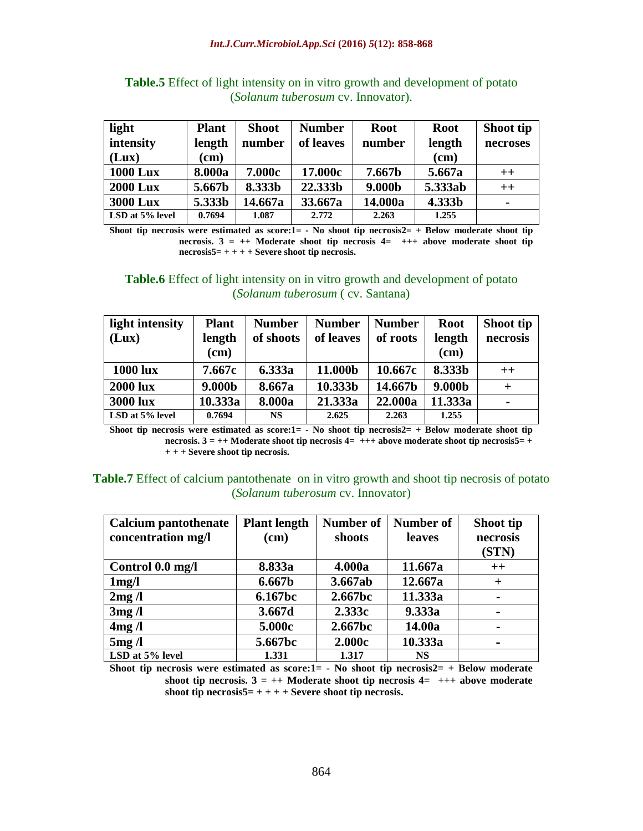| light           | <b>Plant</b> | <b>Shoot</b> | <b>Number</b> | <b>Root</b> | <b>Root</b> | Shoot tip      |
|-----------------|--------------|--------------|---------------|-------------|-------------|----------------|
| intensity       | length       | number       | of leaves     | number      | length      | necroses       |
| (Lux)           | $(cm)$       |              |               |             | $(cm)$      |                |
| <b>1000 Lux</b> | 8.000a       | 7.000c       | 17.000c       | 7.667b      | 5.667a      | $++$           |
| <b>2000 Lux</b> | 5.667b       | 8.333b       | 22.333b       | 9.000b      | 5.333ab     | $++$           |
| <b>3000 Lux</b> | 5.333b       | 14.667a      | 33.667a       | 14.000a     | 4.333b      | $\blacksquare$ |
| LSD at 5% level | 0.7694       | 1.087        | 2.772         | 2.263       | 1.255       |                |

**Table.5** Effect of light intensity on in vitro growth and development of potato (*Solanum tuberosum* cv. Innovator).

**Shoot tip necrosis were estimated as score:1= - No shoot tip necrosis2= + Below moderate shoot tip necrosis. 3 = ++ Moderate shoot tip necrosis 4= +++ above moderate shoot tip necrosis5= + + + + Severe shoot tip necrosis.**

#### **Table.6** Effect of light intensity on in vitro growth and development of potato (*Solanum tuberosum* ( cv. Santana)

| light intensity | <b>Plant</b> | <b>Number</b> | <b>Number</b> | <b>Number</b> | <b>Root</b> | Shoot tip      |
|-----------------|--------------|---------------|---------------|---------------|-------------|----------------|
| (Lux)           | length       | of shoots     | of leaves     | of roots      | length      | necrosis       |
|                 | (cm)         |               |               |               | (cm)        |                |
| <b>1000 lux</b> | 7.667c       | 6.333a        | 11.000b       | 10.667c       | 8.333b      | $++$           |
| <b>2000 lux</b> | 9.000b       | 8.667a        | 10.333b       | 14.667b       | 9.000b      | $\pm$          |
| <b>3000 lux</b> | 10.333a      | 8.000a        | 21.333a       | 22.000a       | 11.333a     | $\blacksquare$ |
| LSD at 5% level | 0.7694       | <b>NS</b>     | 2.625         | 2.263         | 1.255       |                |

**Shoot tip necrosis were estimated as score:1= - No shoot tip necrosis2= + Below moderate shoot tip necrosis. 3 = ++ Moderate shoot tip necrosis 4= +++ above moderate shoot tip necrosis5= + + + + Severe shoot tip necrosis.**

#### **Table.7** Effect of calcium pantothenate on in vitro growth and shoot tip necrosis of potato (*Solanum tuberosum* cv. Innovator)

| <b>Calcium pantothenate</b><br>concentration mg/l | <b>Plant length</b><br>(cm) | <b>Number of</b><br>shoots | Number of<br>leaves | Shoot tip<br>necrosis<br>(STN) |
|---------------------------------------------------|-----------------------------|----------------------------|---------------------|--------------------------------|
| Control 0.0 mg/l                                  | 8.833a                      | 4.000a                     | 11.667a             | $++$                           |
| 1mg/l                                             | 6.667b                      | 3.667ab                    | 12.667a             | $+$                            |
| 2mg/l                                             | 6.167bc                     | 2.667bc                    | 11.333a             |                                |
| 3mg/1                                             | 3.667d                      | 2.333c                     | 9.333a              |                                |
| 4mg/l                                             | 5.000c                      | 2.667bc                    | 14.00a              | $\blacksquare$                 |
| 5mg/1                                             | 5.667bc                     | 2.000c                     | 10.333a             |                                |
| LSD at 5% level                                   | 1.331                       | 1.317                      | <b>NS</b>           |                                |

**Shoot tip necrosis were estimated as score:1= - No shoot tip necrosis2= + Below moderate**  shoot tip necrosis.  $3 = ++$  Moderate shoot tip necrosis  $4= +++$  above moderate **shoot tip necrosis5= + + + + Severe shoot tip necrosis.**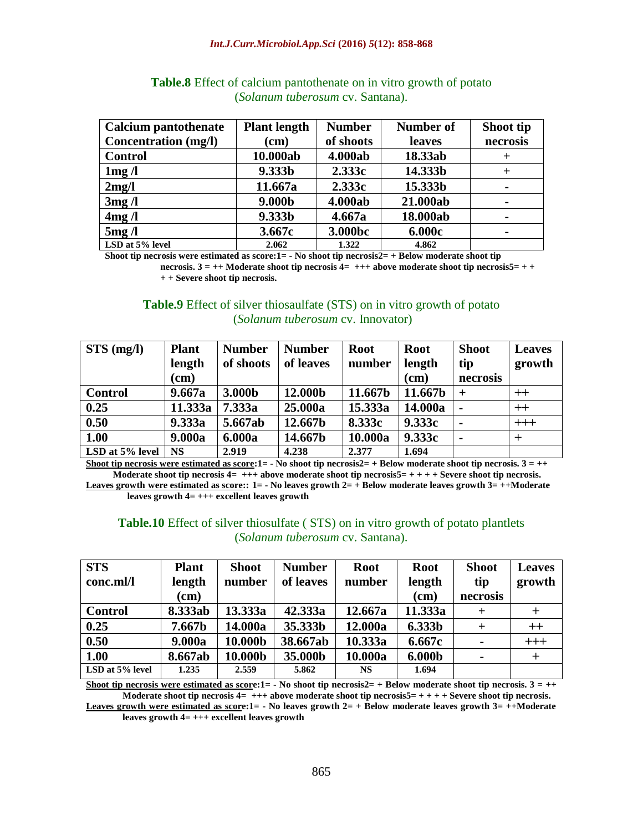| <b>Calcium pantothenate</b> | <b>Plant length</b> | <b>Number</b> | Number of | Shoot tip      |
|-----------------------------|---------------------|---------------|-----------|----------------|
| <b>Concentration</b> (mg/l) | $(cm)$              | of shoots     | leaves    | necrosis       |
| <b>Control</b>              | 10.000ab            | 4.000ab       | 18.33ab   | $\pm$          |
| 1mg/l                       | 9.333b              | 2.333c        | 14.333b   | $^{+}$         |
| 2mg/l                       | 11.667a             | 2.333c        | 15.333b   | $\blacksquare$ |
| 3mg/l                       | 9.000b              | 4.000ab       | 21.000ab  | $\blacksquare$ |
| 4mg/l                       | 9.333b              | 4.667a        | 18.000ab  | $\blacksquare$ |
| 5mg/l                       | 3.667c              | 3.000bc       | 6.000c    | $\blacksquare$ |
| LSD at 5% level             | 2.062               | 1.322         | 4.862     |                |

## **Table.8** Effect of calcium pantothenate on in vitro growth of potato (*Solanum tuberosum* cv. Santana).

**Shoot tip necrosis were estimated as score:1= - No shoot tip necrosis2= + Below moderate shoot tip** 

**necrosis. 3 = ++ Moderate shoot tip necrosis 4= +++ above moderate shoot tip necrosis5= + + + + Severe shoot tip necrosis.**

#### **Table.9** Effect of silver thiosaulfate (STS) on in vitro growth of potato (*Solanum tuberosum* cv. Innovator)

| $STS$ (mg/l)    | <b>Plant</b> | <b>Number</b> | <b>Number</b> | <b>Root</b> | <b>Root</b> | <b>Shoot</b>   | <b>Leaves</b> |
|-----------------|--------------|---------------|---------------|-------------|-------------|----------------|---------------|
|                 | length       | of shoots     | of leaves     | number      | length      | tip            | growth        |
|                 | (cm)         |               |               |             | $(cm)$      | necrosis       |               |
| <b>Control</b>  | 9.667a       | 3.000b        | 12.000b       | 11.667b     | 11.667b     | $\div$         | $^{++}$       |
| 0.25            | 11.333a      | 7.333a        | 25.000a       | 15.333a     | 14.000a     |                | $^{++}$       |
| 0.50            | 9.333a       | 5.667ab       | 12.667b       | 8.333c      | 9.333c      | $\blacksquare$ | $+++$         |
| 1.00            | 9.000a       | 6.000a        | 14.667b       | 10.000a     | 9.333c      |                | $\pm$         |
| LSD at 5% level | <b>NS</b>    | 2.919         | 4.238         | 2.377       | 1.694       |                |               |

**Shoot tip necrosis were estimated as score:1=**  $\cdot$  **No shoot tip necrosis2=**  $\cdot$  **Below moderate shoot tip necrosis.**  $3 = ++$ **Moderate shoot tip necrosis 4= +++ above moderate shoot tip necrosis5= + + + + Severe shoot tip necrosis. Leaves growth were estimated as score:: 1= - No leaves growth 2= + Below moderate leaves growth 3= ++Moderate** 

**leaves growth 4= +++ excellent leaves growth** 

#### **Table.10** Effect of silver thiosulfate ( STS) on in vitro growth of potato plantlets (*Solanum tuberosum* cv. Santana).

| <b>STS</b>      | <b>Plant</b> | <b>Shoot</b> | <b>Number</b> | <b>Root</b> | <b>Root</b> | <b>Shoot</b>   | <b>Leaves</b> |
|-----------------|--------------|--------------|---------------|-------------|-------------|----------------|---------------|
| conc.ml/l       | length       | number       | of leaves     | number      | length      | tip            | growth        |
|                 | (cm)         |              |               |             | (cm)        | necrosis       |               |
| <b>Control</b>  | 8.333ab      | 13.333a      | 42.333a       | 12.667a     | 11.333a     | $\pm$          |               |
| 0.25            | 7.667b       | 14.000a      | 35.333b       | 12.000a     | 6.333b      | $\pm$          | $++$          |
| 0.50            | 9.000a       | 10.000b      | 38.667ab      | 10.333a     | 6.667c      | $\blacksquare$ | $+++$         |
| 1.00            | 8.667ab      | 10.000b      | 35.000b       | 10.000a     | 6.000b      | $\blacksquare$ |               |
| LSD at 5% level | 1.235        | 2.559        | 5.862         | <b>NS</b>   | 1.694       |                |               |

**Shoot tip necrosis were estimated as score:1=**  $\cdot$  **No shoot tip necrosis2=**  $\cdot$  **Below moderate shoot tip necrosis.**  $3 = ++$ **Moderate shoot tip necrosis 4= +++ above moderate shoot tip necrosis5= + + + + Severe shoot tip necrosis.**

**Leaves growth were estimated as score:1= - No leaves growth 2= + Below moderate leaves growth 3= ++Moderate leaves growth 4= +++ excellent leaves growth**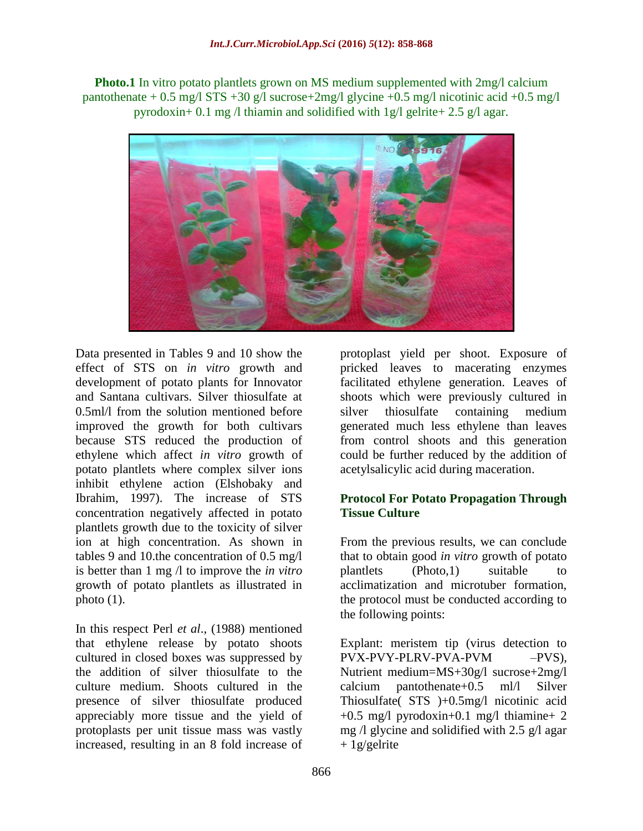**Photo.1** In vitro potato plantlets grown on MS medium supplemented with  $2mg/$  calcium pantothenate + 0.5 mg/l STS +30 g/l sucrose+2mg/l glycine +0.5 mg/l nicotinic acid +0.5 mg/l pyrodoxin+ 0.1 mg /l thiamin and solidified with 1g/l gelrite+ 2.5 g/l agar.



Data presented in Tables 9 and 10 show the effect of STS on *in vitro* growth and development of potato plants for Innovator and Santana cultivars. Silver thiosulfate at 0.5ml/l from the solution mentioned before improved the growth for both cultivars because STS reduced the production of ethylene which affect *in vitro* growth of potato plantlets where complex silver ions inhibit ethylene action (Elshobaky and Ibrahim, 1997). The increase of STS concentration negatively affected in potato plantlets growth due to the toxicity of silver ion at high concentration. As shown in tables 9 and 10.the concentration of 0.5 mg/l is better than 1 mg /l to improve the *in vitro* growth of potato plantlets as illustrated in photo  $(1)$ .

In this respect Perl *et al*., (1988) mentioned that ethylene release by potato shoots cultured in closed boxes was suppressed by the addition of silver thiosulfate to the culture medium. Shoots cultured in the presence of silver thiosulfate produced appreciably more tissue and the yield of protoplasts per unit tissue mass was vastly increased, resulting in an 8 fold increase of

protoplast yield per shoot. Exposure of pricked leaves to macerating enzymes facilitated ethylene generation. Leaves of shoots which were previously cultured in silver thiosulfate containing medium generated much less ethylene than leaves from control shoots and this generation could be further reduced by the addition of acetylsalicylic acid during maceration.

## **Protocol For Potato Propagation Through Tissue Culture**

From the previous results, we can conclude that to obtain good *in vitro* growth of potato plantlets (Photo,1) suitable to acclimatization and microtuber formation, the protocol must be conducted according to the following points:

Explant: meristem tip (virus detection to PVX-PVY-PLRV-PVA-PVM –PVS), Nutrient medium=MS+30g/l sucrose+2mg/l calcium pantothenate+0.5 ml/l Silver Thiosulfate( STS )+0.5mg/l nicotinic acid  $+0.5$  mg/l pyrodoxin $+0.1$  mg/l thiamine $+2$ mg /l glycine and solidified with 2.5 g/l agar  $+ 1$ g/gelrite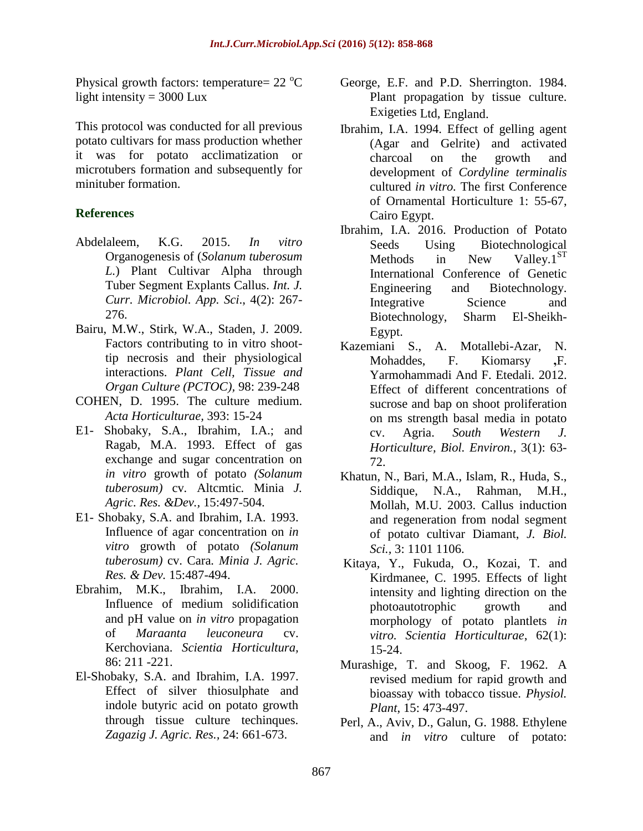Physical growth factors: temperature=  $22^{\circ}C$ light intensity  $= 3000$  Lux

This protocol was conducted for all previous potato cultivars for mass production whether it was for potato acclimatization or microtubers formation and subsequently for minituber formation.

## **References**

- Abdelaleem, K.G. 2015. *In vitro*  Organogenesis of (*Solanum tuberosum L.*) Plant Cultivar Alpha through Tuber Segment Explants Callus. *Int. J. Curr. Microbiol. App. Sci*., 4(2): 267- 276.
- Bairu, M.W., Stirk, W.A., Staden, J. 2009. Factors contributing to in vitro shoottip necrosis and their physiological interactions. *Plant Cell, Tissue and Organ Culture (PCTOC),* 98: 239-248
- COHEN, D. 1995. The culture medium. *Acta Horticulturae,* 393: 15-24
- E1- Shobaky, S.A., Ibrahim, I.A.; and Ragab, M.A. 1993. Effect of gas exchange and sugar concentration on *in vitro* growth of potato *(Solanum tuberosum)* cv*.* Altcmtic*.* Minia *J. Agric. Res. &Dev.,* 15:497-504.
- E1- Shobaky, S.A. and Ibrahim, I.A. 1993. Influence of agar concentration on *in vitro* growth of potato *(Solanum tuberosum)* cv. Cara*. Minia J. Agric. Res. & Dev.* 15:487-494.
- Ebrahim, M.K., Ibrahim, I.A. 2000. Influence of medium solidification and pH value on *in vitro* propagation of *Maraanta leuconeura* cv. Kerchoviana. *Scientia Horticultura,*  86: 211 -221.
- El-Shobaky, S.A. and Ibrahim, I.A. 1997. Effect of silver thiosulphate and indole butyric acid on potato growth through tissue culture techinques. *Zagazig J. Agric. Res.,* 24: 661-673.
- George, E.F. and P.D. Sherrington. 1984. Plant propagation by tissue culture. Exigeties Ltd, England.
- Ibrahim, I.A. 1994. Effect of gelling agent (Agar and Gelrite) and activated charcoal on the growth and development of *Cordyline terminalis*  cultured *in vitro.* The first Conference of Ornamental Horticulture 1: 55-67, Cairo Egypt.
- Ibrahim, I.A. 2016. Production of Potato Seeds Using Biotechnological Methods in New Valley. $1^{ST}$ International Conference of Genetic Engineering and Biotechnology. Integrative Science and Biotechnology, Sharm El-Sheikh-Egypt.
- Kazemiani S., A. Motallebi-Azar, N. Mohaddes, F. Kiomarsy **,**F. Yarmohammadi And F. Etedali. 2012. Effect of different concentrations of sucrose and bap on shoot proliferation on ms strength basal media in potato cv. Agria. *South Western J. Horticulture, Biol. Environ.,* 3(1): 63- 72.
- Khatun, N., Bari, M.A., Islam, R., Huda, S., Siddique, N.A., Rahman, M.H., Mollah, M.U. 2003. Callus induction and regeneration from nodal segment of potato cultivar Diamant, *J. Biol. Sci.,* 3: 1101 1106.
- Kitaya, Y., [Fukuda,](https://www.researchgate.net/researcher/2021351770_O_Fukuda) O., Kozai, T. and [Kirdmanee,](https://www.researchgate.net/profile/Chalermpol_Kirdmanee) C. 1995. Effects of light intensity and lighting direction on the photoautotrophic growth and morphology of potato plantlets *in vitro. Scientia Horticulturae*, 62(1): 15-24.
- Murashige, T. and Skoog, F. 1962. A revised medium for rapid growth and bioassay with tobacco tissue. *Physiol. Plant*, 15: 473-497.
- [Perl,](https://www.ncbi.nlm.nih.gov/pubmed/?term=Perl%20A%5BAuthor%5D&cauthor=true&cauthor_uid=24240255) A., [Aviv,](https://www.ncbi.nlm.nih.gov/pubmed/?term=Aviv%20D%5BAuthor%5D&cauthor=true&cauthor_uid=24240255) D., Galun, [G. 1988.](https://www.ncbi.nlm.nih.gov/pubmed/?term=Galun%20E%5BAuthor%5D&cauthor=true&cauthor_uid=24240255) Ethylene and *in vitro* culture of potato: